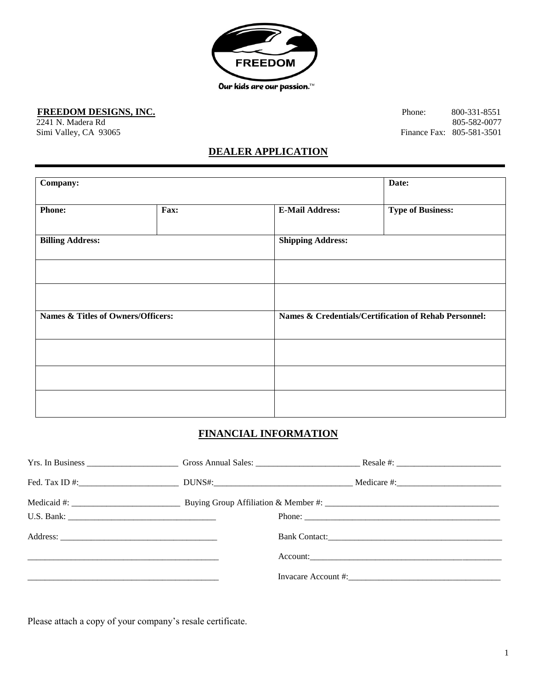

FREEDOM DESIGNS, INC. Phone: 800-331-8551

2241 N. Madera Rd 805-582-0077<br>
Simi Valley, CA 93065<br>
Finance Fax: 805-581-3501 Finance Fax: 805-581-3501

## **DEALER APPLICATION**

| Company:                                      |      |                          | Date:                                                 |  |
|-----------------------------------------------|------|--------------------------|-------------------------------------------------------|--|
| <b>Phone:</b>                                 | Fax: | <b>E-Mail Address:</b>   | <b>Type of Business:</b>                              |  |
| <b>Billing Address:</b>                       |      | <b>Shipping Address:</b> |                                                       |  |
|                                               |      |                          |                                                       |  |
|                                               |      |                          |                                                       |  |
| <b>Names &amp; Titles of Owners/Officers:</b> |      |                          | Names & Credentials/Certification of Rehab Personnel: |  |
|                                               |      |                          |                                                       |  |
|                                               |      |                          |                                                       |  |
|                                               |      |                          |                                                       |  |

# **FINANCIAL INFORMATION**

|  | Bank Contact: |  |
|--|---------------|--|
|  |               |  |
|  |               |  |

Please attach a copy of your company's resale certificate.